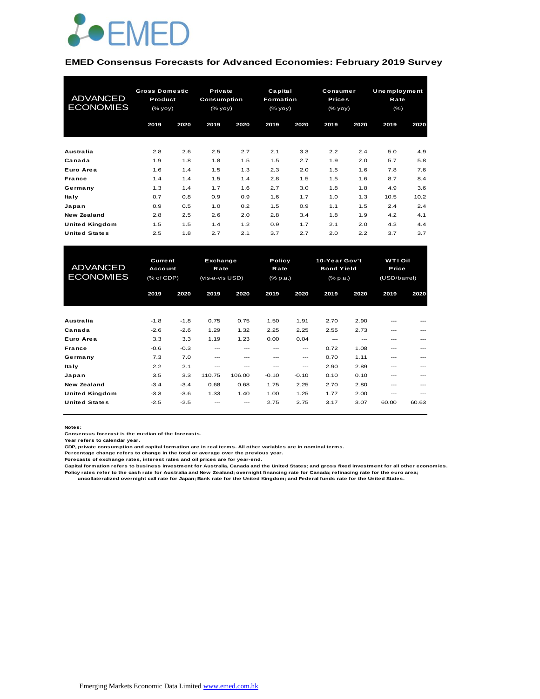

#### **EMED Consensus Forecasts for Advanced Economies: February 2019 Survey**

| <b>ADVANCED</b><br><b>ECONOMIES</b> | <b>Gross Domestic</b><br>Product<br>(% yoy) |      | Private<br><b>Consumption</b><br>(% |      | Capital<br>Formation<br>(% yoy) |      | Consumer<br><b>Prices</b><br>(% yoy) |      | Unemployment<br>Rate<br>$(\% )$ |      |
|-------------------------------------|---------------------------------------------|------|-------------------------------------|------|---------------------------------|------|--------------------------------------|------|---------------------------------|------|
|                                     | 2019                                        | 2020 | 2019                                | 2020 | 2019                            | 2020 | 2019                                 | 2020 | 2019                            | 2020 |
| <b>Australia</b>                    | 2.8                                         | 2.6  | 2.5                                 | 2.7  | 2.1                             | 3.3  | 2.2                                  | 2.4  | 5.0                             | 4.9  |
| Canada                              | 1.9                                         | 1.8  | 1.8                                 | 1.5  | 1.5                             | 2.7  | 1.9                                  | 2.0  | 5.7                             | 5.8  |
| Euro Area                           | 1.6                                         | 1.4  | 1.5                                 | 1.3  | 2.3                             | 2.0  | 1.5                                  | 1.6  | 7.8                             | 7.6  |
| France                              | 1.4                                         | 1.4  | 1.5                                 | 1.4  | 2.8                             | 1.5  | 1.5                                  | 1.6  | 8.7                             | 8.4  |
| Germany                             | 1.3                                         | 1.4  | 1.7                                 | 1.6  | 2.7                             | 3.0  | 1.8                                  | 1.8  | 4.9                             | 3.6  |
| <b>Italy</b>                        | 0.7                                         | 0.8  | 0.9                                 | 0.9  | 1.6                             | 1.7  | 1.0                                  | 1.3  | 10.5                            | 10.2 |
| Japan                               | 0.9                                         | 0.5  | 1.0                                 | 0.2  | 1.5                             | 0.9  | 1.1                                  | 1.5  | 2.4                             | 2.4  |
| New Zealand                         | 2.8                                         | 2.5  | 2.6                                 | 2.0  | 2.8                             | 3.4  | 1.8                                  | 1.9  | 4.2                             | 4.1  |
| <b>United Kingdom</b>               | 1.5                                         | 1.5  | 1.4                                 | 1.2  | 0.9                             | 1.7  | 2.1                                  | 2.0  | 4.2                             | 4.4  |
| <b>United States</b>                | 2.5                                         | 1.8  | 2.7                                 | 2.1  | 3.7                             | 2.7  | 2.0                                  | 2.2  | 3.7                             | 3.7  |

| <b>United Kingdom</b> | 1.5                       | 1.5    | 1.4             | 1.2    | 0.9      | 1.7     | 2.1             | 2.0               | 4.2          | 4.4   |
|-----------------------|---------------------------|--------|-----------------|--------|----------|---------|-----------------|-------------------|--------------|-------|
| <b>United States</b>  | 2.5                       | 1.8    | 2.7             | 2.1    | 3.7      | 2.7     | 2.0             | 2.2               | 3.7          | 3.7   |
|                       |                           |        |                 |        |          |         |                 |                   |              |       |
|                       | <b>Current</b><br>Account |        | Exchange        |        |          | Policy  |                 | 10-Year Gov't     | WTI Oil      |       |
| <b>ADVANCED</b>       |                           |        | Rate            |        |          | Rate    |                 | <b>Bond Yield</b> |              | Price |
| <b>ECONOMIES</b>      | (% of GDP)                |        | (vis-a-vis USD) |        | (% p.a.) |         | $(%$ $(% p.a.)$ |                   | (USD/barrel) |       |
|                       |                           |        |                 |        |          |         |                 |                   |              |       |
|                       | 2019                      | 2020   | 2019            | 2020   | 2019     | 2020    | 2019            | 2020              | 2019         | 2020  |
|                       |                           |        |                 |        |          |         |                 |                   |              |       |
| Australia             | $-1.8$                    | $-1.8$ | 0.75            | 0.75   | 1.50     | 1.91    | 2.70            | 2.90              | ---          |       |
| Canada                | $-2.6$                    | $-2.6$ | 1.29            | 1.32   | 2.25     | 2.25    | 2.55            | 2.73              | ---          |       |
| Euro Area             | 3.3                       | 3.3    | 1.19            | 1.23   | 0.00     | 0.04    | $---$           | $---$             | ---          |       |
| France                | $-0.6$                    | $-0.3$ | $---$           | $---$  | $---$    | ---     | 0.72            | 1.08              | ---          | ---   |
| Germany               | 7.3                       | 7.0    | $---$           | $---$  | $- - -$  | ---     | 0.70            | 1.11              | ---          | ---   |
| <b>Italy</b>          | 2.2                       | 2.1    | $---$           | $---$  | $---$    | ---     | 2.90            | 2.89              | ---          | ---   |
| Japan                 | 3.5                       | 3.3    | 110.75          | 106.00 | $-0.10$  | $-0.10$ | 0.10            | 0.10              | ---          |       |
| <b>New Zealand</b>    | $-3.4$                    | $-3.4$ | 0.68            | 0.68   | 1.75     | 2.25    | 2.70            | 2.80              | ---          |       |
| <b>United Kingdom</b> | $-3.3$                    | $-3.6$ | 1.33            | 1.40   | 1.00     | 1.25    | 1.77            | 2.00              | $- - -$      | ---   |
| <b>United States</b>  | $-2.5$                    | $-2.5$ |                 | $---$  | 2.75     | 2.75    | 3.17            | 3.07              | 60.00        | 60.63 |
|                       |                           |        |                 |        |          |         |                 |                   |              |       |

**Notes:** 

**Consensus forecast is the median of the forecasts.**

**Year refers to calendar year.**

**GDP, private consumption and capital formation are in real terms. All other variables are in nominal terms.**

**Percentage change refers to change in the total or average over the previous year. Forecasts of exchange rates, interest rates and oil prices are for year-end.**

**Capital formation refers to business investment for Australia, Canada and the United States; and gross fixed investment for all other economies.**

**Policy rates refer to the cash rate for Australia and New Zealand; overnight financing rate for Canada; refinacing rate for the euro area; uncollateralized overnight call rate for Japan; Bank rate for the United Kingdom; and Federal funds rate for the United States.**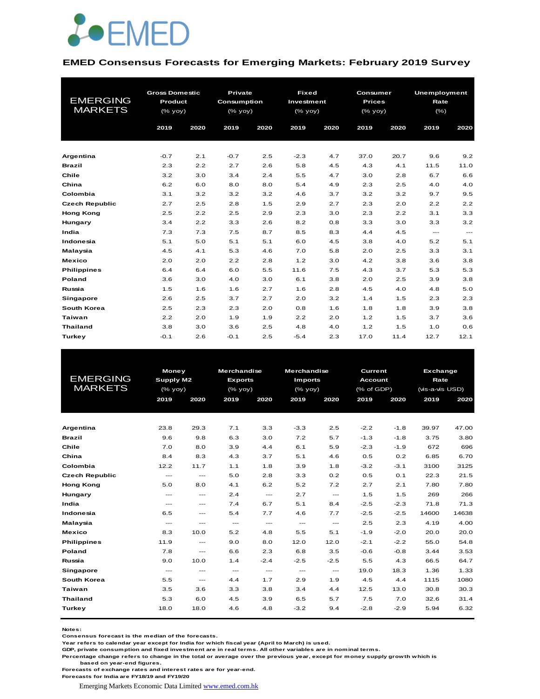

#### **EMED Consensus Forecasts for Emerging Markets: February 2019 Survey**

|                       | <b>Gross Domestic</b> |      | <b>Private</b> |      | <b>Fixed</b> |      | Consumer      |      | Unemployment |          |  |
|-----------------------|-----------------------|------|----------------|------|--------------|------|---------------|------|--------------|----------|--|
| <b>EMERGING</b>       | Product               |      | Consumption    |      | Investment   |      | <b>Prices</b> |      | Rate         |          |  |
| <b>MARKETS</b>        | (% yoy)               |      | (% yoy)        |      | (% yoy)      |      | (% yoy)       |      | $(\% )$      |          |  |
|                       | 2019                  | 2020 | 2019           | 2020 | 2019         | 2020 | 2019          | 2020 | 2019         | 2020     |  |
|                       |                       |      |                |      |              |      |               |      |              |          |  |
|                       |                       |      |                |      |              |      |               |      |              |          |  |
| Argentina             | $-0.7$                | 2.1  | $-0.7$         | 2.5  | $-2.3$       | 4.7  | 37.0          | 20.7 | 9.6          | 9.2      |  |
| <b>Brazil</b>         | 2.3                   | 2.2  | 2.7            | 2.6  | 5.8          | 4.5  | 4.3           | 4.1  | 11.5         | 11.0     |  |
| Chile                 | 3.2                   | 3.0  | 3.4            | 2.4  | 5.5          | 4.7  | 3.0           | 2.8  | 6.7          | 6.6      |  |
| China                 | 6.2                   | 6.0  | 8.0            | 8.0  | 5.4          | 4.9  | 2.3           | 2.5  | 4.0          | 4.0      |  |
| Colombia              | 3.1                   | 3.2  | 3.2            | 3.2  | 4.6          | 3.7  | 3.2           | 3.2  | 9.7          | 9.5      |  |
| <b>Czech Republic</b> | 2.7                   | 2.5  | 2.8            | 1.5  | 2.9          | 2.7  | 2.3           | 2.0  | 2.2          | 2.2      |  |
| <b>Hong Kong</b>      | 2.5                   | 2.2  | 2.5            | 2.9  | 2.3          | 3.0  | 2.3           | 2.2  | 3.1          | 3.3      |  |
| Hungary               | 3.4                   | 2.2  | 3.3            | 2.6  | 8.2          | 0.8  | 3.3           | 3.0  | 3.3          | 3.2      |  |
| India                 | 7.3                   | 7.3  | 7.5            | 8.7  | 8.5          | 8.3  | 4.4           | 4.5  | $\cdots$     | $\cdots$ |  |
| Indonesia             | 5.1                   | 5.0  | 5.1            | 5.1  | 6.0          | 4.5  | 3.8           | 4.0  | 5.2          | 5.1      |  |
| Malaysia              | 4.5                   | 4.1  | 5.3            | 4.6  | 7.0          | 5.8  | 2.0           | 2.5  | 3.3          | 3.1      |  |
| <b>Mexico</b>         | 2.0                   | 2.0  | 2.2            | 2.8  | 1.2          | 3.0  | 4.2           | 3.8  | 3.6          | 3.8      |  |
| <b>Philippines</b>    | 6.4                   | 6.4  | 6.0            | 5.5  | 11.6         | 7.5  | 4.3           | 3.7  | 5.3          | 5.3      |  |
| Poland                | 3.6                   | 3.0  | 4.0            | 3.0  | 6.1          | 3.8  | 2.0           | 2.5  | 3.9          | 3.8      |  |
| Russia                | 1.5                   | 1.6  | 1.6            | 2.7  | 1.6          | 2.8  | 4.5           | 4.0  | 4.8          | 5.0      |  |
| <b>Singapore</b>      | 2.6                   | 2.5  | 3.7            | 2.7  | 2.0          | 3.2  | 1.4           | 1.5  | 2.3          | 2.3      |  |
| South Korea           | 2.5                   | 2.3  | 2.3            | 2.0  | 0.8          | 1.6  | 1.8           | 1.8  | 3.9          | 3.8      |  |
| <b>Taiwan</b>         | 2.2                   | 2.0  | 1.9            | 1.9  | 2.2          | 2.0  | 1.2           | 1.5  | 3.7          | 3.6      |  |
| <b>Thailand</b>       | 3.8                   | 3.0  | 3.6            | 2.5  | 4.8          | 4.0  | 1.2           | 1.5  | 1.0          | 0.6      |  |
| Turkey                | $-0.1$                | 2.6  | $-0.1$         | 2.5  | $-5.4$       | 2.3  | 17.0          | 11.4 | 12.7         | 12.1     |  |

|                       | <b>Money</b>                        |                                     | <b>Merchandise</b>                  |                          | <b>Merchandise</b>   |                                          | Current        | Exchange |                 |       |
|-----------------------|-------------------------------------|-------------------------------------|-------------------------------------|--------------------------|----------------------|------------------------------------------|----------------|----------|-----------------|-------|
| <b>EMERGING</b>       | Supply M2                           |                                     | <b>Exports</b>                      |                          | <b>Imports</b>       |                                          | <b>Account</b> |          | Rate            |       |
| <b>MARKETS</b>        | (% yoy)                             |                                     | $(%$ (% yoy)                        |                          | $(%$ (% yoy)         |                                          | (% of GDP)     |          | (vis-a-vis USD) |       |
|                       | 2019                                | 2020                                | 2019                                | 2020                     | 2019                 | 2020                                     | 2019           | 2020     | 2019            | 2020  |
|                       |                                     |                                     |                                     |                          |                      |                                          |                |          |                 |       |
|                       |                                     |                                     |                                     |                          |                      |                                          |                |          |                 |       |
| Argentina             | 23.8                                | 29.3                                | 7.1                                 | 3.3                      | $-3.3$               | 2.5                                      | $-2.2$         | $-1.8$   | 39.97           | 47.00 |
| <b>Brazil</b>         | 9.6                                 | 9.8                                 | 6.3                                 | 3.0                      | 7.2                  | 5.7                                      | $-1.3$         | $-1.8$   | 3.75            | 3.80  |
| Chile                 | 7.0                                 | 8.0                                 | 3.9                                 | 4.4                      | 6.1                  | 5.9                                      | $-2.3$         | $-1.9$   | 672             | 696   |
| China                 | 8.4                                 | 8.3                                 | 4.3                                 | 3.7                      | 5.1                  | 4.6                                      | 0.5            | 0.2      | 6.85            | 6.70  |
| Colombia              | 12.2                                | 11.7                                | 1.1                                 | 1.8                      | 3.9                  | 1.8                                      | $-3.2$         | $-3.1$   | 3100            | 3125  |
| <b>Czech Republic</b> | $\sim$ $\sim$ $\sim$                | $---$                               | 5.0                                 | 2.8                      | 3.3                  | 0.2                                      | 0.5            | 0.1      | 22.3            | 21.5  |
| <b>Hong Kong</b>      | 5.0                                 | 8.0                                 | 4.1                                 | 6.2                      | 5.2                  | 7.2                                      | 2.7            | 2.1      | 7.80            | 7.80  |
| Hungary               | $\cdots$                            | $\cdots$                            | 2.4                                 | $--$                     | 2.7                  | $\qquad \qquad - -$                      | 1.5            | 1.5      | 269             | 266   |
| India                 | $\cdots$                            | $---$                               | 7.4                                 | 6.7                      | 5.1                  | 8.4                                      | $-2.5$         | $-2.3$   | 71.8            | 71.3  |
| Indonesia             | 6.5                                 | $\sim$ $\sim$ $\sim$                | 5.4                                 | 7.7                      | 4.6                  | 7.7                                      | $-2.5$         | $-2.5$   | 14600           | 14638 |
| Malaysia              | $\sim$ $\sim$ $\sim$                | $\sim$ $\sim$ $\sim$                | $\hspace{0.05cm}---\hspace{0.05cm}$ | $\hspace{0.05cm} \ldots$ | $\sim$ $\sim$ $\sim$ | $\hspace{0.05cm} \ldots$                 | 2.5            | 2.3      | 4.19            | 4.00  |
| <b>Mexico</b>         | 8.3                                 | 10.0                                | 5.2                                 | 4.8                      | 5.5                  | 5.1                                      | $-1.9$         | $-2.0$   | 20.0            | 20.0  |
| <b>Philippines</b>    | 11.9                                | $\frac{1}{2}$                       | 9.0                                 | 8.0                      | 12.0                 | 12.0                                     | $-2.1$         | $-2.2$   | 55.0            | 54.8  |
| Poland                | 7.8                                 | $\cdots$                            | 6.6                                 | 2.3                      | 6.8                  | 3.5                                      | $-0.6$         | $-0.8$   | 3.44            | 3.53  |
| Russia                | 9.0                                 | 10.0                                | 1.4                                 | $-2.4$                   | $-2.5$               | $-2.5$                                   | 5.5            | 4.3      | 66.5            | 64.7  |
| Singapore             | $\hspace{0.05cm}---\hspace{0.05cm}$ | $\hspace{0.05cm}---\hspace{0.05cm}$ | $\sim$ $\sim$                       | $\hspace{0.05cm} \ldots$ | $\cdots$             | $\hspace{0.05cm} \ldots \hspace{0.05cm}$ | 19.0           | 18.3     | 1.36            | 1.33  |
| South Korea           | 5.5                                 | $\qquad \qquad -$                   | 4.4                                 | 1.7                      | 2.9                  | 1.9                                      | 4.5            | 4.4      | 1115            | 1080  |
| Taiwan                | 3.5                                 | 3.6                                 | 3.3                                 | 3.8                      | 3.4                  | 4.4                                      | 12.5           | 13.0     | 30.8            | 30.3  |
| <b>Thailand</b>       | 5.3                                 | 6.0                                 | 4.5                                 | 3.9                      | 6.5                  | 5.7                                      | 7.5            | 7.0      | 32.6            | 31.4  |
| Turkey                | 18.0                                | 18.0                                | 4.6                                 | 4.8                      | $-3.2$               | 9.4                                      | $-2.8$         | $-2.9$   | 5.94            | 6.32  |
|                       |                                     |                                     |                                     |                          |                      |                                          |                |          |                 |       |

**Notes:** 

**Consensus forecast is the median of the forecasts.**

**Year refers to calendar year except for India for which fiscal year (April to March) is used.**

**GDP, private consumption and fixed investment are in real terms. All other variables are in nominal terms.**

**Percentage change refers to change in the total or average over the previous year, except for money supply growth which is based on year-end figures.**

**Forecasts of exchange rates and interest rates are for year-end.**

**Forecasts for India are FY18/19 and FY19/20**

Emerging Markets Economic Data Limited www.emed.com.hk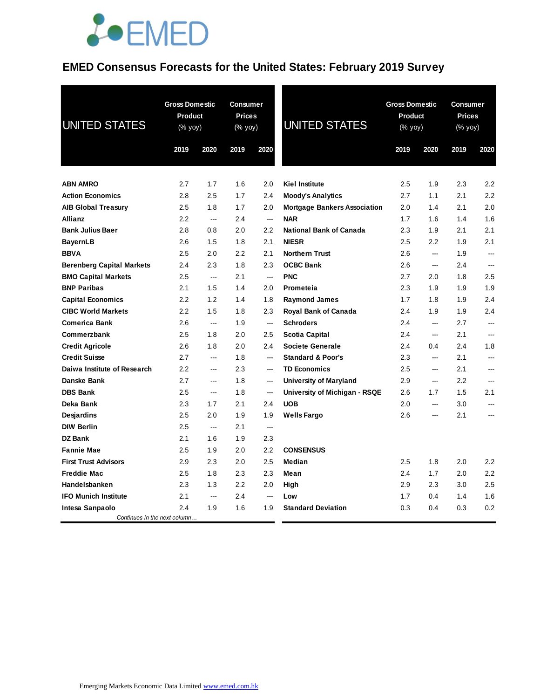### **EMED Consensus Forecasts for the United States: February 2019 Survey**

| <b>UNITED STATES</b>             | <b>Gross Domestic</b><br><b>Product</b><br>(% yoy) |        | <b>Consumer</b><br><b>Prices</b><br>(% yoy) |                          | <b>UNITED STATES</b>                | <b>Gross Domestic</b><br><b>Product</b><br>(% yoy) |                          | <b>Consumer</b><br><b>Prices</b><br>(% yoy) |                          |
|----------------------------------|----------------------------------------------------|--------|---------------------------------------------|--------------------------|-------------------------------------|----------------------------------------------------|--------------------------|---------------------------------------------|--------------------------|
|                                  | 2019                                               | 2020   | 2019                                        | 2020                     |                                     | 2019                                               | 2020                     | 2019                                        | 2020                     |
| <b>ABN AMRO</b>                  | 2.7                                                | 1.7    | 1.6                                         | 2.0                      | <b>Kiel Institute</b>               | 2.5                                                | 1.9                      | 2.3                                         | 2.2                      |
| <b>Action Economics</b>          | 2.8                                                | 2.5    | 1.7                                         | 2.4                      | <b>Moody's Analytics</b>            | 2.7                                                | 1.1                      | 2.1                                         | 2.2                      |
| <b>AIB Global Treasury</b>       | 2.5                                                | 1.8    | 1.7                                         | 2.0                      | <b>Mortgage Bankers Association</b> | 2.0                                                | 1.4                      | 2.1                                         | 2.0                      |
| <b>Allianz</b>                   | 2.2                                                | ---    | 2.4                                         | $\overline{\phantom{a}}$ | <b>NAR</b>                          | 1.7                                                | 1.6                      | 1.4                                         | 1.6                      |
| <b>Bank Julius Baer</b>          | 2.8                                                | 0.8    | 2.0                                         | 2.2                      | <b>National Bank of Canada</b>      | 2.3                                                | 1.9                      | 2.1                                         | 2.1                      |
| <b>BayernLB</b>                  | 2.6                                                | 1.5    | 1.8                                         | 2.1                      | <b>NIESR</b>                        | 2.5                                                | 2.2                      | 1.9                                         | 2.1                      |
| <b>BBVA</b>                      | 2.5                                                | 2.0    | 2.2                                         | 2.1                      | <b>Northern Trust</b>               | 2.6                                                | <u>.</u>                 | 1.9                                         | ---                      |
| <b>Berenberg Capital Markets</b> | 2.4                                                | 2.3    | 1.8                                         | 2.3                      | <b>OCBC Bank</b>                    | 2.6                                                | ---                      | 2.4                                         |                          |
| <b>BMO Capital Markets</b>       | 2.5                                                | $\sim$ | 2.1                                         | ---                      | <b>PNC</b>                          | 2.7                                                | 2.0                      | 1.8                                         | 2.5                      |
| <b>BNP Paribas</b>               | 2.1                                                | 1.5    | 1.4                                         | 2.0                      | Prometeia                           | 2.3                                                | 1.9                      | 1.9                                         | 1.9                      |
| <b>Capital Economics</b>         | 2.2                                                | 1.2    | 1.4                                         | 1.8                      | <b>Raymond James</b>                | 1.7                                                | 1.8                      | 1.9                                         | 2.4                      |
| <b>CIBC World Markets</b>        | 2.2                                                | 1.5    | 1.8                                         | 2.3                      | <b>Royal Bank of Canada</b>         | 2.4                                                | 1.9                      | 1.9                                         | 2.4                      |
| <b>Comerica Bank</b>             | 2.6                                                | ---    | 1.9                                         | $\sim$                   | <b>Schroders</b>                    | 2.4                                                | $\overline{a}$           | 2.7                                         | $\sim$                   |
| Commerzbank                      | 2.5                                                | 1.8    | 2.0                                         | 2.5                      | <b>Scotia Capital</b>               | 2.4                                                | ---                      | 2.1                                         | $-$                      |
| <b>Credit Agricole</b>           | 2.6                                                | 1.8    | 2.0                                         | 2.4                      | <b>Societe Generale</b>             | $2.4\,$                                            | 0.4                      | 2.4                                         | 1.8                      |
| <b>Credit Suisse</b>             | 2.7                                                | $\sim$ | 1.8                                         | <u>.</u>                 | <b>Standard &amp; Poor's</b>        | 2.3                                                | $\overline{\phantom{a}}$ | 2.1                                         | $\overline{\phantom{a}}$ |
| Daiwa Institute of Research      | 2.2                                                | $\sim$ | 2.3                                         | <u></u>                  | <b>TD Economics</b>                 | 2.5                                                | $\overline{a}$           | 2.1                                         | <u>.</u>                 |
| Danske Bank                      | 2.7                                                | $\sim$ | 1.8                                         | <u></u>                  | <b>University of Maryland</b>       | 2.9                                                | $\overline{a}$           | 2.2                                         | $\sim$                   |
| <b>DBS Bank</b>                  | 2.5                                                | ---    | 1.8                                         | $\overline{\phantom{a}}$ | University of Michigan - RSQE       | 2.6                                                | 1.7                      | 1.5                                         | 2.1                      |
| Deka Bank                        | 2.3                                                | 1.7    | 2.1                                         | 2.4                      | <b>UOB</b>                          | 2.0                                                | ---                      | 3.0                                         | ---                      |
| <b>Desjardins</b>                | 2.5                                                | 2.0    | 1.9                                         | 1.9                      | <b>Wells Fargo</b>                  | 2.6                                                | $\overline{a}$           | 2.1                                         | <u>.</u>                 |
| <b>DIW Berlin</b>                | 2.5                                                | ---    | 2.1                                         | $\sim$                   |                                     |                                                    |                          |                                             |                          |
| <b>DZ</b> Bank                   | 2.1                                                | 1.6    | 1.9                                         | 2.3                      |                                     |                                                    |                          |                                             |                          |
| <b>Fannie Mae</b>                | 2.5                                                | 1.9    | 2.0                                         | 2.2                      | <b>CONSENSUS</b>                    |                                                    |                          |                                             |                          |
| <b>First Trust Advisors</b>      | 2.9                                                | 2.3    | 2.0                                         | 2.5                      | Median                              | 2.5                                                | 1.8                      | 2.0                                         | 2.2                      |
| <b>Freddie Mac</b>               | 2.5                                                | 1.8    | 2.3                                         | 2.3                      | Mean                                | 2.4                                                | 1.7                      | 2.0                                         | 2.2                      |
| Handelsbanken                    | 2.3                                                | 1.3    | 2.2                                         | 2.0                      | High                                | 2.9                                                | 2.3                      | 3.0                                         | 2.5                      |
| <b>IFO Munich Institute</b>      | 2.1                                                | ---    | 2.4                                         | $\overline{\phantom{a}}$ | Low                                 | 1.7                                                | 0.4                      | 1.4                                         | 1.6                      |
| Intesa Sanpaolo                  | 2.4                                                | 1.9    | 1.6                                         | 1.9                      | <b>Standard Deviation</b>           | 0.3                                                | 0.4                      | 0.3                                         | 0.2                      |
| Continues in the next column     |                                                    |        |                                             |                          |                                     |                                                    |                          |                                             |                          |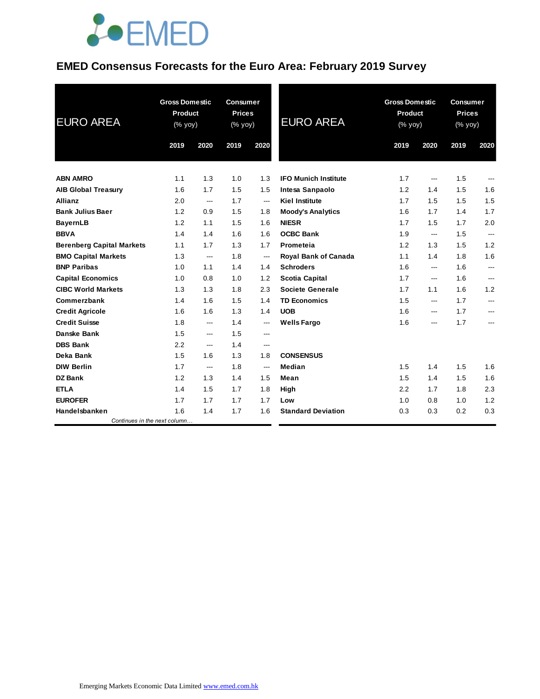### **EMED Consensus Forecasts for the Euro Area: February 2019 Survey**

| <b>EURO AREA</b>                 | <b>Gross Domestic</b><br><b>Product</b><br>(% yoy) |                | <b>Consumer</b><br><b>Prices</b><br>(% yoy) |                            | <b>EURO AREA</b>            | <b>Gross Domestic</b><br>Product<br>(% yoy) |                | <b>Consumer</b><br><b>Prices</b><br>(% yoy) |      |
|----------------------------------|----------------------------------------------------|----------------|---------------------------------------------|----------------------------|-----------------------------|---------------------------------------------|----------------|---------------------------------------------|------|
|                                  | 2019                                               | 2020           | 2019                                        | 2020                       |                             | 2019                                        | 2020           | 2019                                        | 2020 |
| <b>ABN AMRO</b>                  | 1.1                                                | 1.3            | 1.0                                         | 1.3                        | <b>IFO Munich Institute</b> | 1.7                                         | ---            | 1.5                                         | ---  |
| <b>AIB Global Treasury</b>       | 1.6                                                | 1.7            | 1.5                                         | 1.5                        | Intesa Sanpaolo             | 1.2                                         | 1.4            | 1.5                                         | 1.6  |
| <b>Allianz</b>                   | 2.0                                                | $\overline{a}$ | 1.7                                         | $\overline{\phantom{a}}$   | <b>Kiel Institute</b>       | 1.7                                         | 1.5            | 1.5                                         | 1.5  |
| <b>Bank Julius Baer</b>          | 1.2                                                | 0.9            | 1.5                                         | 1.8                        | <b>Moody's Analytics</b>    | 1.6                                         | 1.7            | 1.4                                         | 1.7  |
| <b>BayernLB</b>                  | 1.2                                                | 1.1            | 1.5                                         | 1.6                        | <b>NIESR</b>                | 1.7                                         | 1.5            | 1.7                                         | 2.0  |
| <b>BBVA</b>                      | 1.4                                                | 1.4            | 1.6                                         | 1.6                        | <b>OCBC Bank</b>            | 1.9                                         | $\overline{a}$ | 1.5                                         | ---  |
| <b>Berenberg Capital Markets</b> | 1.1                                                | 1.7            | 1.3                                         | 1.7                        | Prometeia                   | 1.2                                         | 1.3            | 1.5                                         | 1.2  |
| <b>BMO Capital Markets</b>       | 1.3                                                | ---            | 1.8                                         | $---$                      | Royal Bank of Canada        | 1.1                                         | 1.4            | 1.8                                         | 1.6  |
| <b>BNP Paribas</b>               | 1.0                                                | 1.1            | 1.4                                         | 1.4                        | <b>Schroders</b>            | 1.6                                         | ---            | 1.6                                         | ---  |
| <b>Capital Economics</b>         | 1.0                                                | 0.8            | 1.0                                         | 1.2                        | <b>Scotia Capital</b>       | 1.7                                         | ---            | 1.6                                         | ---  |
| <b>CIBC World Markets</b>        | 1.3                                                | 1.3            | 1.8                                         | 2.3                        | <b>Societe Generale</b>     | 1.7                                         | 1.1            | 1.6                                         | 1.2  |
| Commerzbank                      | 1.4                                                | 1.6            | 1.5                                         | 1.4                        | <b>TD Economics</b>         | 1.5                                         | ---            | 1.7                                         | ---  |
| <b>Credit Agricole</b>           | 1.6                                                | 1.6            | 1.3                                         | 1.4                        | <b>UOB</b>                  | 1.6                                         | $---$          | 1.7                                         | ---  |
| <b>Credit Suisse</b>             | 1.8                                                | ---            | 1.4                                         | ---                        | <b>Wells Fargo</b>          | 1.6                                         | ---            | 1.7                                         | ---  |
| Danske Bank                      | 1.5                                                | ---            | 1.5                                         | $\qquad \qquad \text{---}$ |                             |                                             |                |                                             |      |
| <b>DBS Bank</b>                  | 2.2                                                | ---            | 1.4                                         | $\qquad \qquad \text{---}$ |                             |                                             |                |                                             |      |
| Deka Bank                        | 1.5                                                | 1.6            | 1.3                                         | 1.8                        | <b>CONSENSUS</b>            |                                             |                |                                             |      |
| <b>DIW Berlin</b>                | 1.7                                                | ---            | 1.8                                         | ---                        | Median                      | 1.5                                         | 1.4            | 1.5                                         | 1.6  |
| <b>DZ Bank</b>                   | 1.2                                                | 1.3            | 1.4                                         | 1.5                        | Mean                        | 1.5                                         | 1.4            | 1.5                                         | 1.6  |
| <b>ETLA</b>                      | 1.4                                                | 1.5            | 1.7                                         | 1.8                        | High                        | 2.2                                         | 1.7            | 1.8                                         | 2.3  |
| <b>EUROFER</b>                   | 1.7                                                | 1.7            | 1.7                                         | 1.7                        | Low                         | 1.0                                         | 0.8            | 1.0                                         | 1.2  |
| Handelsbanken                    | 1.6                                                | 1.4            | 1.7                                         | 1.6                        | <b>Standard Deviation</b>   | 0.3                                         | 0.3            | 0.2                                         | 0.3  |
| Continues in the next column     |                                                    |                |                                             |                            |                             |                                             |                |                                             |      |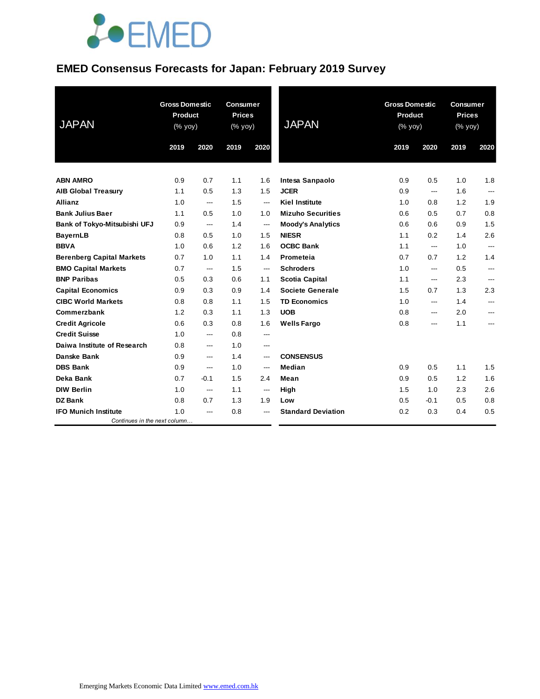#### **EMED Consensus Forecasts for Japan: February 2019 Survey**

| <b>JAPAN</b>                     | <b>Gross Domestic</b><br><b>Product</b><br>(% yoy) |                | <b>Consumer</b><br><b>Prices</b><br>(% yoy) |                        | <b>JAPAN</b>              | <b>Gross Domestic</b><br>Product<br>(% yoy) |        | <b>Consumer</b><br><b>Prices</b><br>(% yoy) |                |
|----------------------------------|----------------------------------------------------|----------------|---------------------------------------------|------------------------|---------------------------|---------------------------------------------|--------|---------------------------------------------|----------------|
|                                  | 2019                                               | 2020           | 2019                                        | 2020                   |                           | 2019                                        | 2020   | 2019                                        | 2020           |
| <b>ABN AMRO</b>                  | 0.9                                                | 0.7            | 1.1                                         | 1.6                    | Intesa Sanpaolo           | 0.9                                         | 0.5    | 1.0                                         | 1.8            |
| <b>AIB Global Treasury</b>       | 1.1                                                | 0.5            | 1.3                                         | 1.5                    | <b>JCER</b>               | 0.9                                         | ---    | 1.6                                         | $---$          |
| <b>Allianz</b>                   | 1.0                                                | $\overline{a}$ | 1.5                                         | $\overline{a}$         | <b>Kiel Institute</b>     | 1.0                                         | 0.8    | 1.2                                         | 1.9            |
| <b>Bank Julius Baer</b>          | 1.1                                                | 0.5            | 1.0                                         | 1.0                    | <b>Mizuho Securities</b>  | 0.6                                         | 0.5    | 0.7                                         | 0.8            |
| Bank of Tokyo-Mitsubishi UFJ     | 0.9                                                | ---            | 1.4                                         | $\qquad \qquad \cdots$ | <b>Moody's Analytics</b>  | 0.6                                         | 0.6    | 0.9                                         | 1.5            |
| <b>BayernLB</b>                  | 0.8                                                | 0.5            | 1.0                                         | 1.5                    | <b>NIESR</b>              | 1.1                                         | 0.2    | 1.4                                         | 2.6            |
| <b>BBVA</b>                      | 1.0                                                | 0.6            | 1.2                                         | 1.6                    | <b>OCBC Bank</b>          | 1.1                                         | ---    | 1.0                                         | $\overline{a}$ |
| <b>Berenberg Capital Markets</b> | 0.7                                                | 1.0            | 1.1                                         | 1.4                    | Prometeia                 | 0.7                                         | 0.7    | 1.2                                         | 1.4            |
| <b>BMO Capital Markets</b>       | 0.7                                                | ---            | 1.5                                         | $\qquad \qquad \cdots$ | <b>Schroders</b>          | 1.0                                         | ---    | 0.5                                         | ---            |
| <b>BNP Paribas</b>               | 0.5                                                | 0.3            | 0.6                                         | 1.1                    | <b>Scotia Capital</b>     | 1.1                                         | $---$  | 2.3                                         | ---            |
| <b>Capital Economics</b>         | 0.9                                                | 0.3            | 0.9                                         | 1.4                    | <b>Societe Generale</b>   | 1.5                                         | 0.7    | 1.3                                         | 2.3            |
| <b>CIBC World Markets</b>        | 0.8                                                | 0.8            | 1.1                                         | 1.5                    | <b>TD Economics</b>       | 1.0                                         | ---    | 1.4                                         | ---            |
| Commerzbank                      | 1.2                                                | 0.3            | 1.1                                         | 1.3                    | <b>UOB</b>                | 0.8                                         | ---    | 2.0                                         | ---            |
| <b>Credit Agricole</b>           | 0.6                                                | 0.3            | 0.8                                         | 1.6                    | <b>Wells Fargo</b>        | 0.8                                         | ---    | 1.1                                         | ---            |
| <b>Credit Suisse</b>             | 1.0                                                | ---            | 0.8                                         | ---                    |                           |                                             |        |                                             |                |
| Daiwa Institute of Research      | 0.8                                                | ---            | 1.0                                         | $---$                  |                           |                                             |        |                                             |                |
| <b>Danske Bank</b>               | 0.9                                                | ---            | 1.4                                         | ---                    | <b>CONSENSUS</b>          |                                             |        |                                             |                |
| <b>DBS Bank</b>                  | 0.9                                                | ---            | 1.0                                         | ---                    | Median                    | 0.9                                         | 0.5    | 1.1                                         | 1.5            |
| Deka Bank                        | 0.7                                                | $-0.1$         | 1.5                                         | 2.4                    | Mean                      | 0.9                                         | 0.5    | 1.2                                         | 1.6            |
| <b>DIW Berlin</b>                | 1.0                                                | $\overline{a}$ | 1.1                                         | ---                    | High                      | 1.5                                         | 1.0    | 2.3                                         | 2.6            |
| <b>DZ Bank</b>                   | 0.8                                                | 0.7            | 1.3                                         | 1.9                    | Low                       | 0.5                                         | $-0.1$ | 0.5                                         | 0.8            |
| <b>IFO Munich Institute</b>      | 1.0                                                | ---            | 0.8                                         | ---                    | <b>Standard Deviation</b> | 0.2                                         | 0.3    | 0.4                                         | 0.5            |
| Continues in the next column     |                                                    |                |                                             |                        |                           |                                             |        |                                             |                |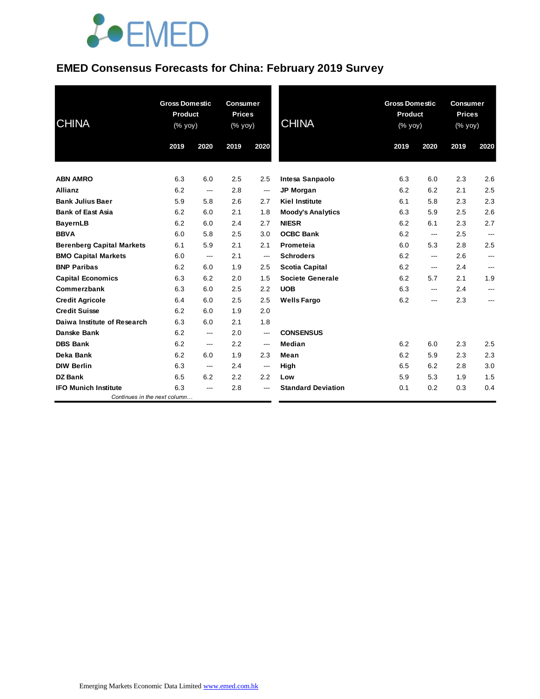### **EMED Consensus Forecasts for China: February 2019 Survey**

| <b>CHINA</b>                     | <b>Gross Domestic</b><br>Product<br>(% yoy) |                | <b>Consumer</b><br><b>Prices</b><br>(% yoy) |                          | <b>CHINA</b>              | <b>Gross Domestic</b><br>Product<br>(% yoy) |       | <b>Consumer</b><br><b>Prices</b><br>(% yoy) |      |
|----------------------------------|---------------------------------------------|----------------|---------------------------------------------|--------------------------|---------------------------|---------------------------------------------|-------|---------------------------------------------|------|
|                                  | 2019                                        | 2020           | 2019                                        | 2020                     |                           | 2019                                        | 2020  | 2019                                        | 2020 |
| <b>ABN AMRO</b>                  | 6.3                                         | 6.0            | 2.5                                         | 2.5                      | Intesa Sanpaolo           | 6.3                                         | 6.0   | 2.3                                         | 2.6  |
| <b>Allianz</b>                   | 6.2                                         | ---            | 2.8                                         | $\overline{\phantom{a}}$ | <b>JP Morgan</b>          | 6.2                                         | 6.2   | 2.1                                         | 2.5  |
| <b>Bank Julius Baer</b>          | 5.9                                         | 5.8            | 2.6                                         | 2.7                      | <b>Kiel Institute</b>     | 6.1                                         | 5.8   | 2.3                                         | 2.3  |
| <b>Bank of East Asia</b>         | 6.2                                         | 6.0            | 2.1                                         | 1.8                      | <b>Moody's Analytics</b>  | 6.3                                         | 5.9   | 2.5                                         | 2.6  |
| <b>BayernLB</b>                  | 6.2                                         | 6.0            | 2.4                                         | 2.7                      | <b>NIESR</b>              | 6.2                                         | 6.1   | 2.3                                         | 2.7  |
| <b>BBVA</b>                      | 6.0                                         | 5.8            | 2.5                                         | 3.0                      | <b>OCBC Bank</b>          | 6.2                                         | ---   | 2.5                                         | ---  |
| <b>Berenberg Capital Markets</b> | 6.1                                         | 5.9            | 2.1                                         | 2.1                      | Prometeia                 | 6.0                                         | 5.3   | 2.8                                         | 2.5  |
| <b>BMO Capital Markets</b>       | 6.0                                         | ---            | 2.1                                         | ---                      | <b>Schroders</b>          | 6.2                                         | ---   | 2.6                                         | ---  |
| <b>BNP Paribas</b>               | 6.2                                         | 6.0            | 1.9                                         | 2.5                      | <b>Scotia Capital</b>     | 6.2                                         | $---$ | 2.4                                         | ---  |
| <b>Capital Economics</b>         | 6.3                                         | 6.2            | 2.0                                         | 1.5                      | <b>Societe Generale</b>   | 6.2                                         | 5.7   | 2.1                                         | 1.9  |
| Commerzbank                      | 6.3                                         | 6.0            | 2.5                                         | 2.2                      | <b>UOB</b>                | 6.3                                         | ---   | 2.4                                         | ---  |
| <b>Credit Agricole</b>           | 6.4                                         | 6.0            | 2.5                                         | 2.5                      | <b>Wells Fargo</b>        | 6.2                                         | ---   | 2.3                                         | ---  |
| <b>Credit Suisse</b>             | 6.2                                         | 6.0            | 1.9                                         | 2.0                      |                           |                                             |       |                                             |      |
| Daiwa Institute of Research      | 6.3                                         | 6.0            | 2.1                                         | 1.8                      |                           |                                             |       |                                             |      |
| <b>Danske Bank</b>               | 6.2                                         | ---            | 2.0                                         | ---                      | <b>CONSENSUS</b>          |                                             |       |                                             |      |
| <b>DBS Bank</b>                  | 6.2                                         | ---            | 2.2                                         | $\overline{a}$           | Median                    | 6.2                                         | 6.0   | 2.3                                         | 2.5  |
| Deka Bank                        | 6.2                                         | 6.0            | 1.9                                         | 2.3                      | Mean                      | 6.2                                         | 5.9   | 2.3                                         | 2.3  |
| <b>DIW Berlin</b>                | 6.3                                         | $\overline{a}$ | 2.4                                         | $---$                    | High                      | 6.5                                         | 6.2   | 2.8                                         | 3.0  |
| <b>DZ Bank</b>                   | 6.5                                         | 6.2            | 2.2                                         | 2.2                      | Low                       | 5.9                                         | 5.3   | 1.9                                         | 1.5  |
| <b>IFO Munich Institute</b>      | 6.3                                         | ---            | 2.8                                         | ---                      | <b>Standard Deviation</b> | 0.1                                         | 0.2   | 0.3                                         | 0.4  |
| Continues in the next column     |                                             |                |                                             |                          |                           |                                             |       |                                             |      |